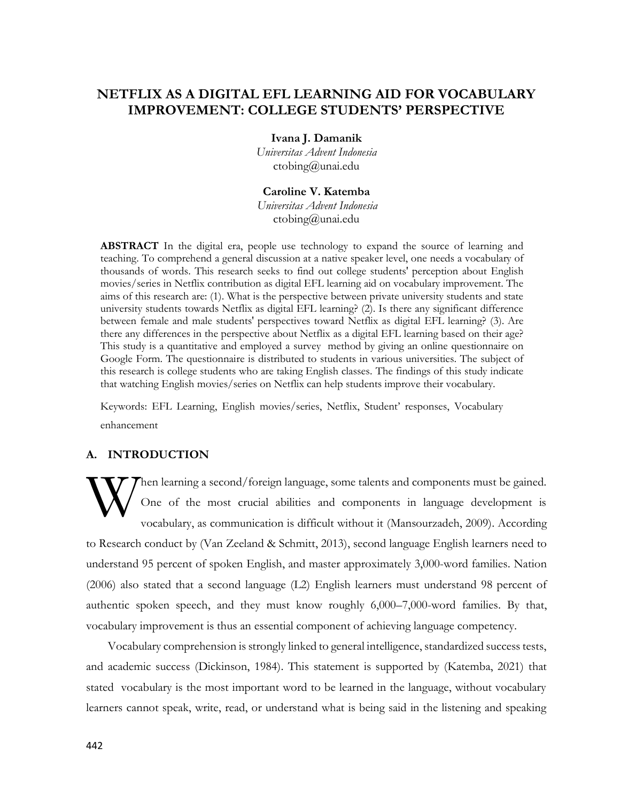# **NETFLIX AS A DIGITAL EFL LEARNING AID FOR VOCABULARY IMPROVEMENT: COLLEGE STUDENTS' PERSPECTIVE**

**Ivana J. Damanik**

*Universitas Advent Indonesia* [ctobing@unai.edu](mailto:ctobing@unai.edu)

**Caroline V. Katemba** *Universitas Advent Indonesia* [ctobing@unai.edu](mailto:ctobing@unai.edu)

**ABSTRACT** In the digital era, people use technology to expand the source of learning and teaching. To comprehend a general discussion at a native speaker level, one needs a vocabulary of thousands of words. This research seeks to find out college students' perception about English movies/series in Netflix contribution as digital EFL learning aid on vocabulary improvement. The aims of this research are: (1). What is the perspective between private university students and state university students towards Netflix as digital EFL learning? (2). Is there any significant difference between female and male students' perspectives toward Netflix as digital EFL learning? (3). Are there any differences in the perspective about Netflix as a digital EFL learning based on their age? This study is a quantitative and employed a survey method by giving an online questionnaire on Google Form. The questionnaire is distributed to students in various universities. The subject of this research is college students who are taking English classes. The findings of this study indicate that watching English movies/series on Netflix can help students improve their vocabulary.

Keywords: EFL Learning, English movies/series, Netflix, Student' responses, Vocabulary enhancement

# **A. INTRODUCTION**

hen learning a second/foreign language, some talents and components must be gained. One of the most crucial abilities and components in language development is vocabulary, as communication is difficult without it (Mansourzadeh, 2009). According to Research conduct by (Van Zeeland & Schmitt, 2013), second language English learners need to understand 95 percent of spoken English, and master approximately 3,000-word families. Nation (2006) also stated that a second language (L2) English learners must understand 98 percent of authentic spoken speech, and they must know roughly 6,000–7,000-word families. By that, vocabulary improvement is thus an essential component of achieving language competency. W

Vocabulary comprehension is strongly linked to general intelligence, standardized success tests, and academic success (Dickinson, 1984). This statement is supported by (Katemba, 2021) that stated vocabulary is the most important word to be learned in the language, without vocabulary learners cannot speak, write, read, or understand what is being said in the listening and speaking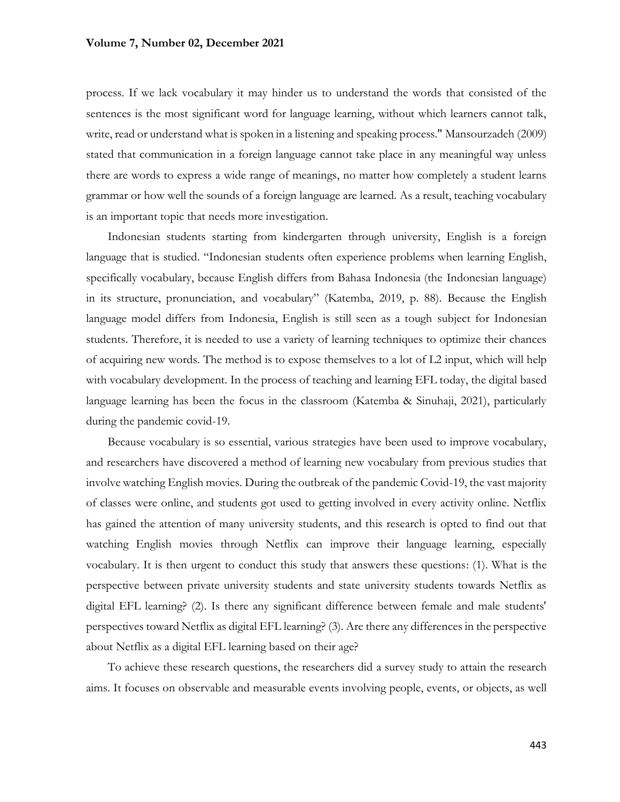process. If we lack vocabulary it may hinder us to understand the words that consisted of the sentences is the most significant word for language learning, without which learners cannot talk, write, read or understand what is spoken in a listening and speaking process." Mansourzadeh (2009) stated that communication in a foreign language cannot take place in any meaningful way unless there are words to express a wide range of meanings, no matter how completely a student learns grammar or how well the sounds of a foreign language are learned. As a result, teaching vocabulary is an important topic that needs more investigation.

Indonesian students starting from kindergarten through university, English is a foreign language that is studied. "Indonesian students often experience problems when learning English, specifically vocabulary, because English differs from Bahasa Indonesia (the Indonesian language) in its structure, pronunciation, and vocabulary" (Katemba, 2019, p. 88). Because the English language model differs from Indonesia, English is still seen as a tough subject for Indonesian students. Therefore, it is needed to use a variety of learning techniques to optimize their chances of acquiring new words. The method is to expose themselves to a lot of L2 input, which will help with vocabulary development. In the process of teaching and learning EFL today, the digital based language learning has been the focus in the classroom (Katemba & Sinuhaji, 2021), particularly during the pandemic covid-19.

Because vocabulary is so essential, various strategies have been used to improve vocabulary, and researchers have discovered a method of learning new vocabulary from previous studies that involve watching English movies. During the outbreak of the pandemic Covid-19, the vast majority of classes were online, and students got used to getting involved in every activity online. Netflix has gained the attention of many university students, and this research is opted to find out that watching English movies through Netflix can improve their language learning, especially vocabulary. It is then urgent to conduct this study that answers these questions: (1). What is the perspective between private university students and state university students towards Netflix as digital EFL learning? (2). Is there any significant difference between female and male students' perspectives toward Netflix as digital EFL learning? (3). Are there any differences in the perspective about Netflix as a digital EFL learning based on their age?

To achieve these research questions, the researchers did a survey study to attain the research aims. It focuses on observable and measurable events involving people, events, or objects, as well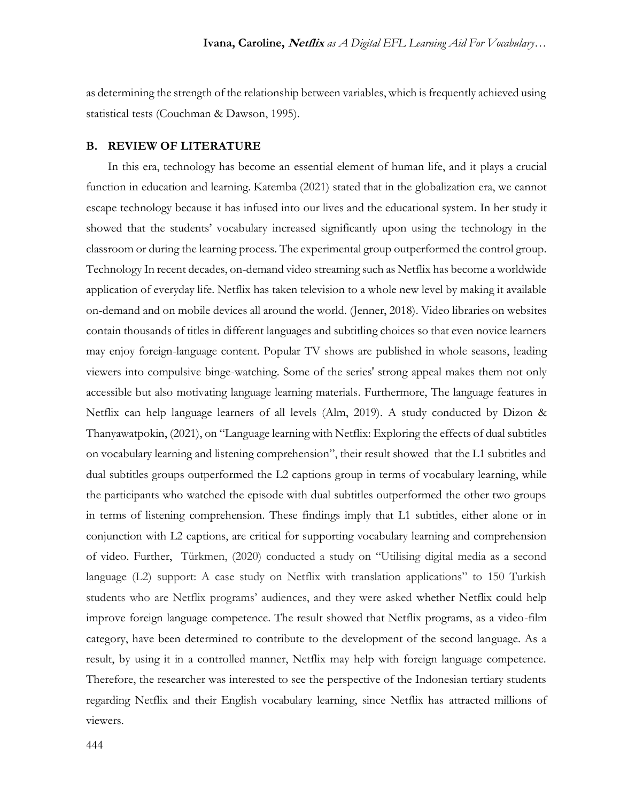as determining the strength of the relationship between variables, which is frequently achieved using statistical tests (Couchman & Dawson, 1995).

### **B. REVIEW OF LITERATURE**

In this era, technology has become an essential element of human life, and it plays a crucial function in education and learning. Katemba (2021) stated that in the globalization era, we cannot escape technology because it has infused into our lives and the educational system. In her study it showed that the students' vocabulary increased significantly upon using the technology in the classroom or during the learning process. The experimental group outperformed the control group. Technology In recent decades, on-demand video streaming such as Netflix has become a worldwide application of everyday life. Netflix has taken television to a whole new level by making it available on-demand and on mobile devices all around the world. (Jenner, 2018). Video libraries on websites contain thousands of titles in different languages and subtitling choices so that even novice learners may enjoy foreign-language content. Popular TV shows are published in whole seasons, leading viewers into compulsive binge-watching. Some of the series' strong appeal makes them not only accessible but also motivating language learning materials. Furthermore, The language features in Netflix can help language learners of all levels (Alm, 2019). A study conducted by Dizon & Thanyawatpokin, (2021), on "Language learning with Netflix: Exploring the effects of dual subtitles on vocabulary learning and listening comprehension", their result showed that the L1 subtitles and dual subtitles groups outperformed the L2 captions group in terms of vocabulary learning, while the participants who watched the episode with dual subtitles outperformed the other two groups in terms of listening comprehension. These findings imply that L1 subtitles, either alone or in conjunction with L2 captions, are critical for supporting vocabulary learning and comprehension of video. Further, Türkmen, (2020) conducted a study on "Utilising digital media as a second language (L2) support: A case study on Netflix with translation applications" to 150 Turkish students who are Netflix programs' audiences, and they were asked whether Netflix could help improve foreign language competence. The result showed that Netflix programs, as a video-film category, have been determined to contribute to the development of the second language. As a result, by using it in a controlled manner, Netflix may help with foreign language competence. Therefore, the researcher was interested to see the perspective of the Indonesian tertiary students regarding Netflix and their English vocabulary learning, since Netflix has attracted millions of viewers.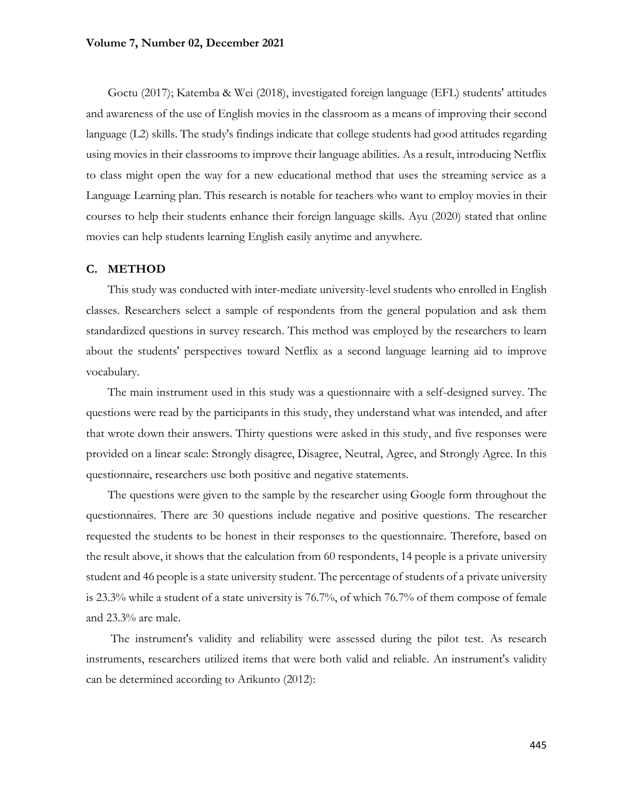Goctu (2017); Katemba & Wei (2018), investigated foreign language (EFL) students' attitudes and awareness of the use of English movies in the classroom as a means of improving their second language (L2) skills. The study's findings indicate that college students had good attitudes regarding using movies in their classrooms to improve their language abilities. As a result, introducing Netflix to class might open the way for a new educational method that uses the streaming service as a Language Learning plan. This research is notable for teachers who want to employ movies in their courses to help their students enhance their foreign language skills. Ayu (2020) stated that online movies can help students learning English easily anytime and anywhere.

### **C. METHOD**

This study was conducted with inter-mediate university-level students who enrolled in English classes. Researchers select a sample of respondents from the general population and ask them standardized questions in survey research. This method was employed by the researchers to learn about the students' perspectives toward Netflix as a second language learning aid to improve vocabulary.

The main instrument used in this study was a questionnaire with a self-designed survey. The questions were read by the participants in this study, they understand what was intended, and after that wrote down their answers. Thirty questions were asked in this study, and five responses were provided on a linear scale: Strongly disagree, Disagree, Neutral, Agree, and Strongly Agree. In this questionnaire, researchers use both positive and negative statements.

The questions were given to the sample by the researcher using Google form throughout the questionnaires. There are 30 questions include negative and positive questions. The researcher requested the students to be honest in their responses to the questionnaire. Therefore, based on the result above, it shows that the calculation from 60 respondents, 14 people is a private university student and 46 people is a state university student. The percentage of students of a private university is 23.3% while a student of a state university is 76.7%, of which 76.7% of them compose of female and 23.3% are male.

The instrument's validity and reliability were assessed during the pilot test. As research instruments, researchers utilized items that were both valid and reliable. An instrument's validity can be determined according to Arikunto (2012):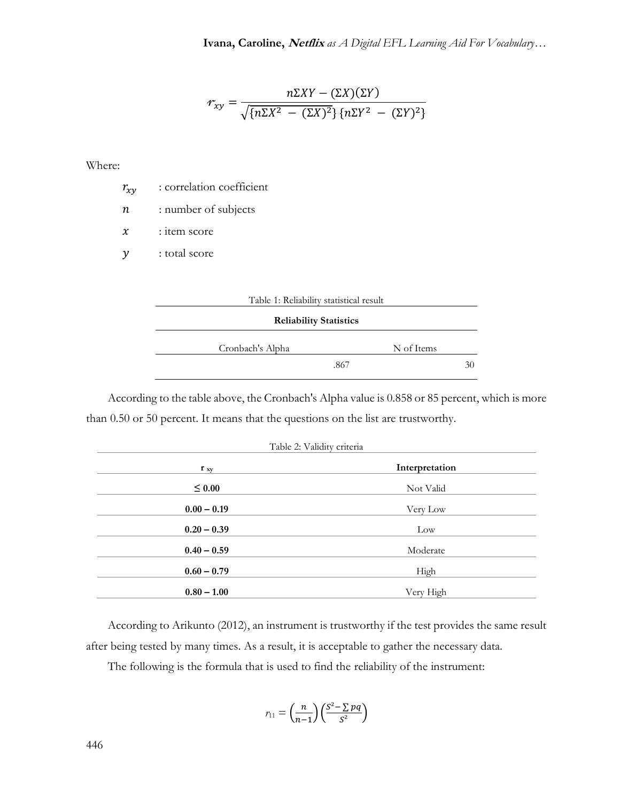$$
\mathcal{F}_{xy} = \frac{n\Sigma XY - (\Sigma X)(\Sigma Y)}{\sqrt{\{n\Sigma X^2 - (\Sigma X)^2\} \{n\Sigma Y^2 - (\Sigma Y)^2\}}}
$$

Where:

 $r_{xy}$  : correlation coefficient

 $n$  : number of subjects

 $x$  : item score

y : total score



| <b>Reliability Statistics</b> |            |  |  |  |
|-------------------------------|------------|--|--|--|
| Cronbach's Alpha              | N of Items |  |  |  |
|                               | .867<br>31 |  |  |  |

According to the table above, the Cronbach's Alpha value is 0.858 or 85 percent, which is more than 0.50 or 50 percent. It means that the questions on the list are trustworthy.

|  | Table 2: Validity criteria |  |
|--|----------------------------|--|
|  |                            |  |

| $\mathbf{r}$ xy | Interpretation |
|-----------------|----------------|
| $\leq 0.00$     | Not Valid      |
| $0.00 - 0.19$   | Very Low       |
| $0.20 - 0.39$   | Low            |
| $0.40 - 0.59$   | Moderate       |
| $0.60 - 0.79$   | High           |
| $0.80 - 1.00$   | Very High      |

According to Arikunto (2012), an instrument is trustworthy if the test provides the same result after being tested by many times. As a result, it is acceptable to gather the necessary data.

The following is the formula that is used to find the reliability of the instrument:

$$
r_{11} = \left(\frac{n}{n-1}\right) \left(\frac{S^2 - \sum pq}{S^2}\right)
$$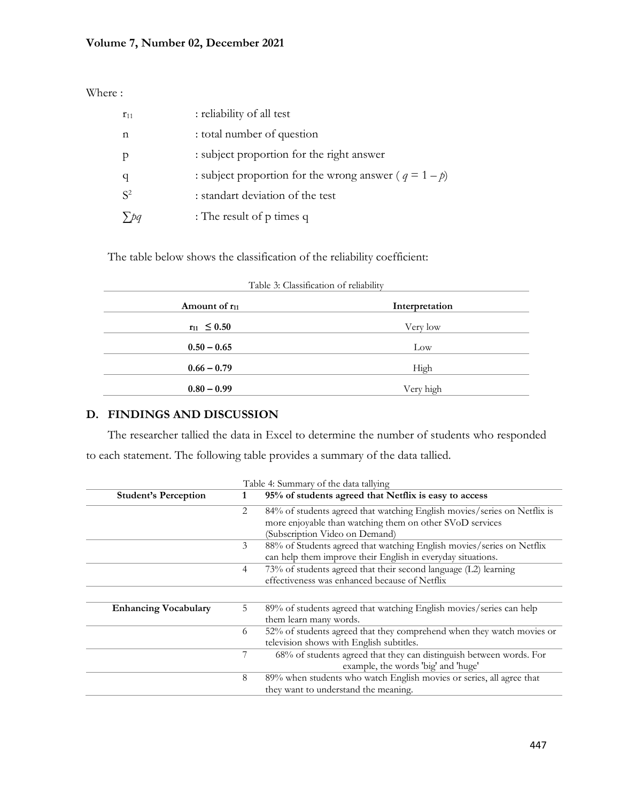Where :

| $r_{11}$ | : reliability of all test                                 |
|----------|-----------------------------------------------------------|
| n        | : total number of question                                |
|          | : subject proportion for the right answer                 |
|          | : subject proportion for the wrong answer ( $q = 1 - p$ ) |
| $S^2$    | : standart deviation of the test                          |
|          | : The result of $p$ times $q$                             |

The table below shows the classification of the reliability coefficient:

| Table 3: Classification of reliability |                |  |  |
|----------------------------------------|----------------|--|--|
| Amount of $r_{11}$                     | Interpretation |  |  |
| $r_{11} \leq 0.50$                     | Very low       |  |  |
| $0.50 - 0.65$                          | Low            |  |  |
| $0.66 - 0.79$                          | High           |  |  |
| $0.80 - 0.99$                          | Very high      |  |  |

# **D. FINDINGS AND DISCUSSION**

The researcher tallied the data in Excel to determine the number of students who responded to each statement. The following table provides a summary of the data tallied.

| Table 4: Summary of the data tallying |                |                                                                                                                                                                        |  |
|---------------------------------------|----------------|------------------------------------------------------------------------------------------------------------------------------------------------------------------------|--|
| <b>Student's Perception</b>           |                | 95% of students agreed that Netflix is easy to access                                                                                                                  |  |
|                                       | 2              | 84% of students agreed that watching English movies/series on Netflix is<br>more enjoyable than watching them on other SVoD services<br>(Subscription Video on Demand) |  |
|                                       | 3              | 88% of Students agreed that watching English movies/series on Netflix<br>can help them improve their English in everyday situations.                                   |  |
|                                       | $\overline{4}$ | 73% of students agreed that their second language (L2) learning<br>effectiveness was enhanced because of Netflix                                                       |  |
|                                       |                |                                                                                                                                                                        |  |
| <b>Enhancing Vocabulary</b>           | 5              | 89% of students agreed that watching English movies/series can help<br>them learn many words.                                                                          |  |
|                                       | 6              | 52% of students agreed that they comprehend when they watch movies or<br>television shows with English subtitles.                                                      |  |
|                                       |                | 68% of students agreed that they can distinguish between words. For<br>example, the words 'big' and 'huge'                                                             |  |
|                                       | 8              | 89% when students who watch English movies or series, all agree that<br>they want to understand the meaning.                                                           |  |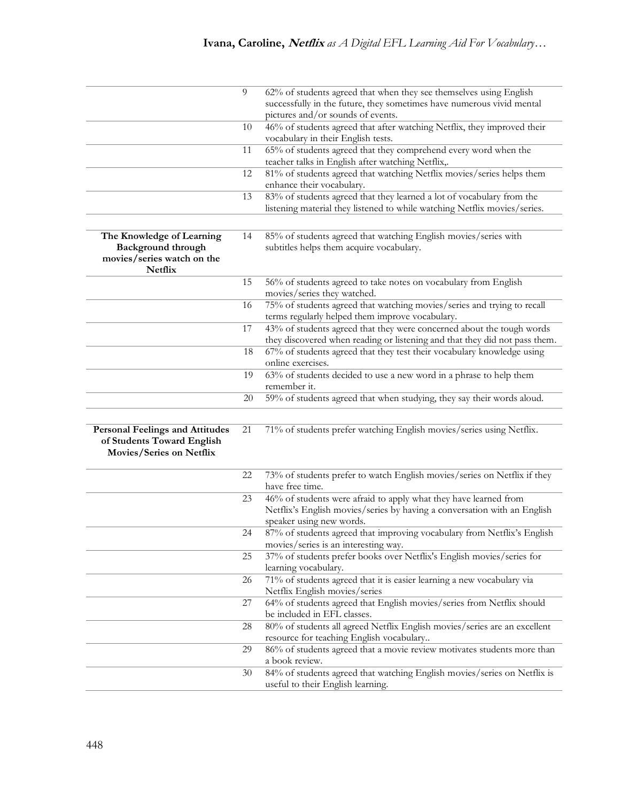|                                        | 9  | 62% of students agreed that when they see themselves using English                 |
|----------------------------------------|----|------------------------------------------------------------------------------------|
|                                        |    | successfully in the future, they sometimes have numerous vivid mental              |
|                                        |    | pictures and/or sounds of events.                                                  |
|                                        | 10 | 46% of students agreed that after watching Netflix, they improved their            |
|                                        |    | vocabulary in their English tests.                                                 |
|                                        | 11 | 65% of students agreed that they comprehend every word when the                    |
|                                        |    | teacher talks in English after watching Netflix,.                                  |
|                                        | 12 | 81% of students agreed that watching Netflix movies/series helps them              |
|                                        |    | enhance their vocabulary.                                                          |
|                                        | 13 | 83% of students agreed that they learned a lot of vocabulary from the              |
|                                        |    | listening material they listened to while watching Netflix movies/series.          |
|                                        |    |                                                                                    |
| The Knowledge of Learning              | 14 | 85% of students agreed that watching English movies/series with                    |
| <b>Background through</b>              |    | subtitles helps them acquire vocabulary.                                           |
| movies/series watch on the             |    |                                                                                    |
| Netflix                                |    |                                                                                    |
|                                        | 15 | 56% of students agreed to take notes on vocabulary from English                    |
|                                        |    | movies/series they watched.                                                        |
|                                        | 16 | 75% of students agreed that watching movies/series and trying to recall            |
|                                        |    | terms regularly helped them improve vocabulary.                                    |
|                                        | 17 | 43% of students agreed that they were concerned about the tough words              |
|                                        |    | they discovered when reading or listening and that they did not pass them.         |
|                                        |    | 67% of students agreed that they test their vocabulary knowledge using             |
|                                        | 18 | online exercises.                                                                  |
|                                        |    |                                                                                    |
|                                        | 19 | 63% of students decided to use a new word in a phrase to help them<br>remember it. |
|                                        | 20 | 59% of students agreed that when studying, they say their words aloud.             |
|                                        |    |                                                                                    |
|                                        |    |                                                                                    |
| <b>Personal Feelings and Attitudes</b> | 21 | 71% of students prefer watching English movies/series using Netflix.               |
| of Students Toward English             |    |                                                                                    |
| Movies/Series on Netflix               |    |                                                                                    |
|                                        |    |                                                                                    |
|                                        | 22 | 73% of students prefer to watch English movies/series on Netflix if they           |
|                                        |    | have free time.                                                                    |
|                                        | 23 | 46% of students were afraid to apply what they have learned from                   |
|                                        |    | Netflix's English movies/series by having a conversation with an English           |
|                                        |    | speaker using new words.                                                           |
|                                        | 24 | 87% of students agreed that improving vocabulary from Netflix's English            |
|                                        |    | movies/series is an interesting way.                                               |
|                                        | 25 | 37% of students prefer books over Netflix's English movies/series for              |
|                                        |    | learning vocabulary.                                                               |
|                                        | 26 | 71% of students agreed that it is easier learning a new vocabulary via             |
|                                        |    | Netflix English movies/series                                                      |
|                                        | 27 | 64% of students agreed that English movies/series from Netflix should              |
|                                        |    | be included in EFL classes.                                                        |
|                                        | 28 | 80% of students all agreed Netflix English movies/series are an excellent          |
|                                        |    | resource for teaching English vocabulary                                           |
|                                        | 29 | 86% of students agreed that a movie review motivates students more than            |
|                                        |    |                                                                                    |
|                                        |    | a book review.                                                                     |
|                                        | 30 | 84% of students agreed that watching English movies/series on Netflix is           |
|                                        |    | useful to their English learning.                                                  |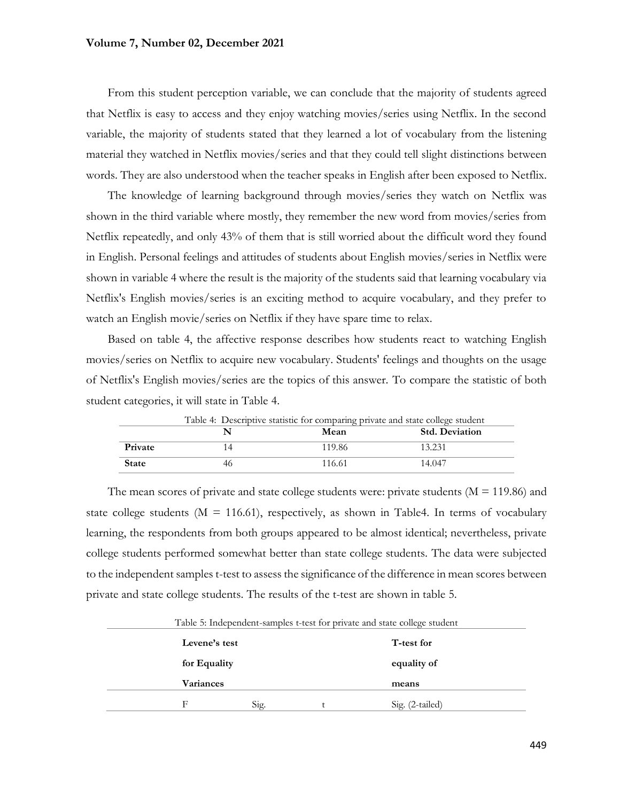From this student perception variable, we can conclude that the majority of students agreed that Netflix is easy to access and they enjoy watching movies/series using Netflix. In the second variable, the majority of students stated that they learned a lot of vocabulary from the listening material they watched in Netflix movies/series and that they could tell slight distinctions between words. They are also understood when the teacher speaks in English after been exposed to Netflix.

The knowledge of learning background through movies/series they watch on Netflix was shown in the third variable where mostly, they remember the new word from movies/series from Netflix repeatedly, and only 43% of them that is still worried about the difficult word they found in English. Personal feelings and attitudes of students about English movies/series in Netflix were shown in variable 4 where the result is the majority of the students said that learning vocabulary via Netflix's English movies/series is an exciting method to acquire vocabulary, and they prefer to watch an English movie/series on Netflix if they have spare time to relax.

Based on table 4, the affective response describes how students react to watching English movies/series on Netflix to acquire new vocabulary. Students' feelings and thoughts on the usage of Netflix's English movies/series are the topics of this answer. To compare the statistic of both student categories, it will state in Table 4.

| Table 4: Descriptive statistic for comparing private and state college student |    |        |                       |  |
|--------------------------------------------------------------------------------|----|--------|-----------------------|--|
|                                                                                |    | Mean   | <b>Std. Deviation</b> |  |
| <b>Private</b>                                                                 |    | 119.86 | 13.231                |  |
| <b>State</b>                                                                   | 46 | 116.61 | 14.047                |  |

The mean scores of private and state college students were: private students  $(M = 119.86)$  and state college students ( $M = 116.61$ ), respectively, as shown in Table4. In terms of vocabulary learning, the respondents from both groups appeared to be almost identical; nevertheless, private college students performed somewhat better than state college students. The data were subjected to the independent samples t-test to assess the significance of the difference in mean scores between private and state college students. The results of the t-test are shown in table 5.

Table 5: Independent-samples t-test for private and state college student **Levene's test for Equality Variances T-test for equality of means** F Sig.  $\qquad \qquad$  t Sig. (2-tailed)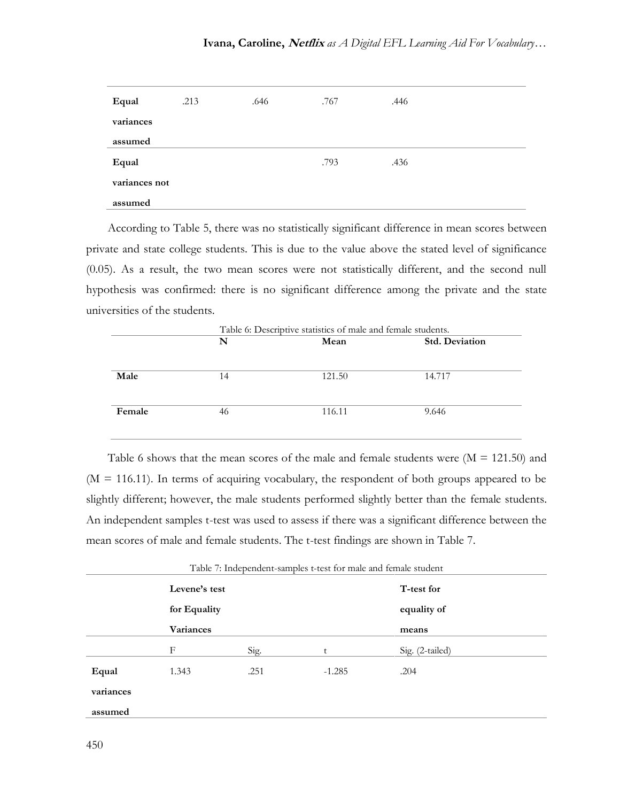| Equal         | .213 | .646 | .767 | .446 |  |
|---------------|------|------|------|------|--|
| variances     |      |      |      |      |  |
| assumed       |      |      |      |      |  |
| Equal         |      |      | .793 | .436 |  |
| variances not |      |      |      |      |  |
| assumed       |      |      |      |      |  |

According to Table 5, there was no statistically significant difference in mean scores between private and state college students. This is due to the value above the stated level of significance (0.05). As a result, the two mean scores were not statistically different, and the second null hypothesis was confirmed: there is no significant difference among the private and the state universities of the students.

|        | Table 6: Descriptive statistics of male and female students. |                               |        |  |
|--------|--------------------------------------------------------------|-------------------------------|--------|--|
|        | N                                                            | <b>Std. Deviation</b><br>Mean |        |  |
|        |                                                              |                               |        |  |
| Male   | 14                                                           | 121.50                        | 14.717 |  |
| Female | 46                                                           | 116.11                        | 9.646  |  |
|        |                                                              |                               |        |  |

Table 6 shows that the mean scores of the male and female students were  $(M = 121.50)$  and  $(M = 116.11)$ . In terms of acquiring vocabulary, the respondent of both groups appeared to be slightly different; however, the male students performed slightly better than the female students. An independent samples t-test was used to assess if there was a significant difference between the mean scores of male and female students. The t-test findings are shown in Table 7.

| Table 7: Independent-samples t-test for male and female student |                               |      |                           |                 |  |
|-----------------------------------------------------------------|-------------------------------|------|---------------------------|-----------------|--|
|                                                                 | Levene's test<br>for Equality |      | T-test for<br>equality of |                 |  |
|                                                                 | <b>Variances</b>              |      |                           | means           |  |
|                                                                 | F                             | Sig. |                           | Sig. (2-tailed) |  |
| Equal                                                           | 1.343                         | .251 | $-1.285$                  | .204            |  |
| variances                                                       |                               |      |                           |                 |  |
| assumed                                                         |                               |      |                           |                 |  |

Table 7: Independent-samples t-test for male and female student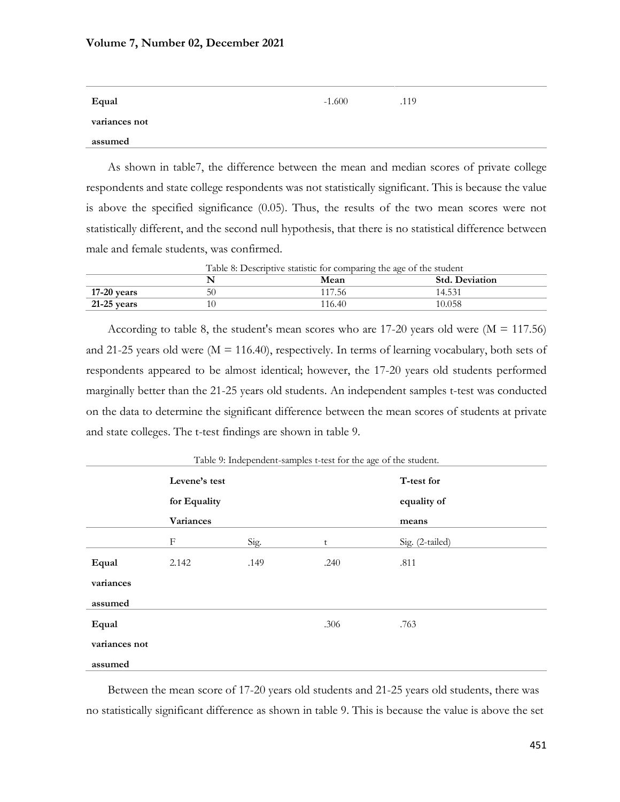| Equal         | $-1.600$ | .119 |
|---------------|----------|------|
| variances not |          |      |
| assumed       |          |      |

As shown in table7, the difference between the mean and median scores of private college respondents and state college respondents was not statistically significant. This is because the value is above the specified significance (0.05). Thus, the results of the two mean scores were not statistically different, and the second null hypothesis, that there is no statistical difference between male and female students, was confirmed.

|               | Table 8: Descriptive statistic for comparing the age of the student |        |                       |  |  |
|---------------|---------------------------------------------------------------------|--------|-----------------------|--|--|
|               |                                                                     | Mean   | <b>Std. Deviation</b> |  |  |
| 17-20 years   | 50                                                                  | 117.56 | 14.531                |  |  |
| $21-25$ years | 10                                                                  | 116.40 | 10.058                |  |  |

According to table 8, the student's mean scores who are  $17-20$  years old were  $(M = 117.56)$ and 21-25 years old were  $(M = 116.40)$ , respectively. In terms of learning vocabulary, both sets of respondents appeared to be almost identical; however, the 17-20 years old students performed marginally better than the 21-25 years old students. An independent samples t-test was conducted on the data to determine the significant difference between the mean scores of students at private and state colleges. The t-test findings are shown in table 9.

| Table 9. Interpendent-samples t-test for the age of the student. |               |      |             |                 |  |  |  |
|------------------------------------------------------------------|---------------|------|-------------|-----------------|--|--|--|
|                                                                  | Levene's test |      | T-test for  |                 |  |  |  |
|                                                                  | for Equality  |      | equality of |                 |  |  |  |
|                                                                  | Variances     |      | means       |                 |  |  |  |
|                                                                  | F             | Sig. | t           | Sig. (2-tailed) |  |  |  |
| Equal                                                            | 2.142         | .149 | .240        | .811            |  |  |  |
| variances                                                        |               |      |             |                 |  |  |  |
| assumed                                                          |               |      |             |                 |  |  |  |
| Equal                                                            |               |      | .306        | .763            |  |  |  |
| variances not                                                    |               |      |             |                 |  |  |  |
| assumed                                                          |               |      |             |                 |  |  |  |

Table 9: Independent-samples t-test for the age of the student.

Between the mean score of 17-20 years old students and 21-25 years old students, there was no statistically significant difference as shown in table 9. This is because the value is above the set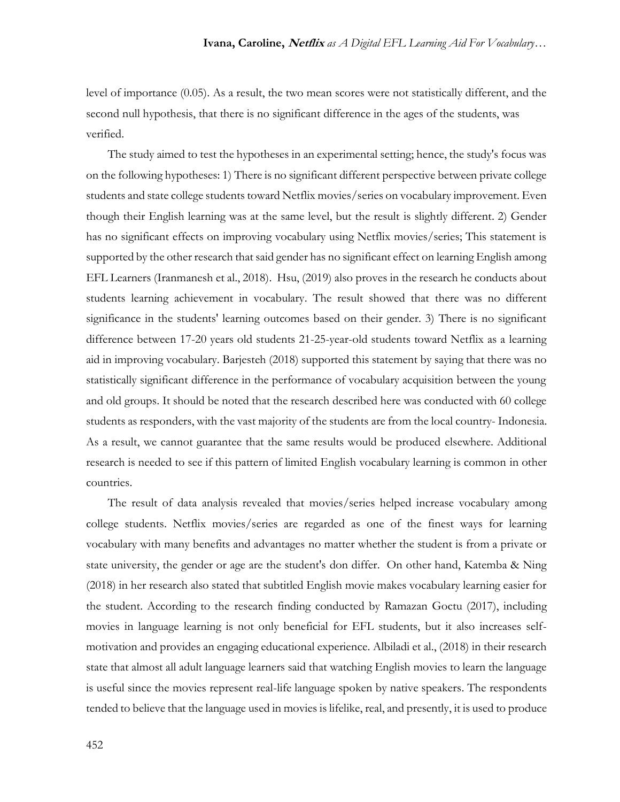level of importance (0.05). As a result, the two mean scores were not statistically different, and the second null hypothesis, that there is no significant difference in the ages of the students, was verified.

The study aimed to test the hypotheses in an experimental setting; hence, the study's focus was on the following hypotheses: 1) There is no significant different perspective between private college students and state college students toward Netflix movies/series on vocabulary improvement. Even though their English learning was at the same level, but the result is slightly different. 2) Gender has no significant effects on improving vocabulary using Netflix movies/series; This statement is supported by the other research that said gender has no significant effect on learning English among EFL Learners (Iranmanesh et al., 2018). Hsu, (2019) also proves in the research he conducts about students learning achievement in vocabulary. The result showed that there was no different significance in the students' learning outcomes based on their gender. 3) There is no significant difference between 17-20 years old students 21-25-year-old students toward Netflix as a learning aid in improving vocabulary. Barjesteh (2018) supported this statement by saying that there was no statistically significant difference in the performance of vocabulary acquisition between the young and old groups. It should be noted that the research described here was conducted with 60 college students as responders, with the vast majority of the students are from the local country- Indonesia. As a result, we cannot guarantee that the same results would be produced elsewhere. Additional research is needed to see if this pattern of limited English vocabulary learning is common in other countries.

The result of data analysis revealed that movies/series helped increase vocabulary among college students. Netflix movies/series are regarded as one of the finest ways for learning vocabulary with many benefits and advantages no matter whether the student is from a private or state university, the gender or age are the student's don differ. On other hand, Katemba & Ning (2018) in her research also stated that subtitled English movie makes vocabulary learning easier for the student. According to the research finding conducted by Ramazan Goctu (2017), including movies in language learning is not only beneficial for EFL students, but it also increases selfmotivation and provides an engaging educational experience. Albiladi et al., (2018) in their research state that almost all adult language learners said that watching English movies to learn the language is useful since the movies represent real-life language spoken by native speakers. The respondents tended to believe that the language used in movies is lifelike, real, and presently, it is used to produce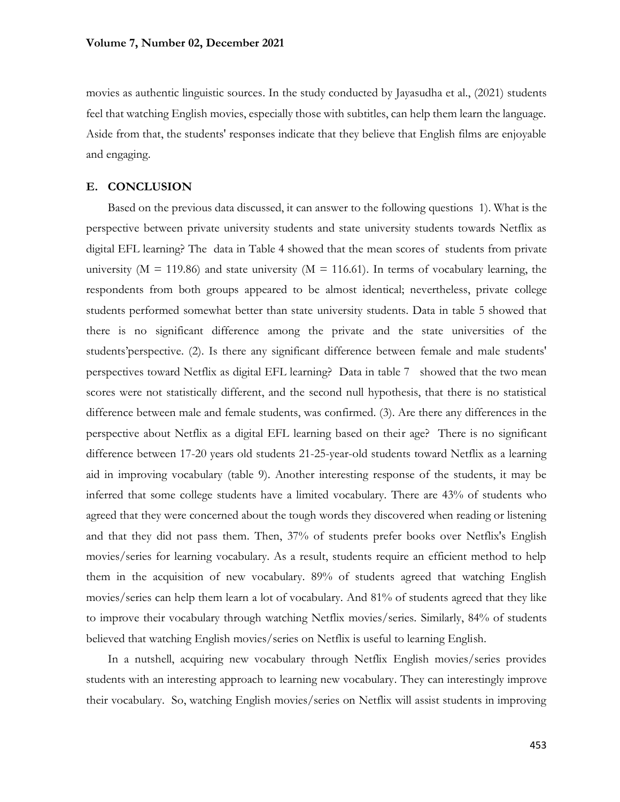movies as authentic linguistic sources. In the study conducted by Jayasudha et al., (2021) students feel that watching English movies, especially those with subtitles, can help them learn the language. Aside from that, the students' responses indicate that they believe that English films are enjoyable and engaging.

### **E. CONCLUSION**

Based on the previous data discussed, it can answer to the following questions 1). What is the perspective between private university students and state university students towards Netflix as digital EFL learning? The data in Table 4 showed that the mean scores of students from private university ( $M = 119.86$ ) and state university ( $M = 116.61$ ). In terms of vocabulary learning, the respondents from both groups appeared to be almost identical; nevertheless, private college students performed somewhat better than state university students. Data in table 5 showed that there is no significant difference among the private and the state universities of the students'perspective. (2). Is there any significant difference between female and male students' perspectives toward Netflix as digital EFL learning? Data in table 7 showed that the two mean scores were not statistically different, and the second null hypothesis, that there is no statistical difference between male and female students, was confirmed. (3). Are there any differences in the perspective about Netflix as a digital EFL learning based on their age? There is no significant difference between 17-20 years old students 21-25-year-old students toward Netflix as a learning aid in improving vocabulary (table 9). Another interesting response of the students, it may be inferred that some college students have a limited vocabulary. There are 43% of students who agreed that they were concerned about the tough words they discovered when reading or listening and that they did not pass them. Then, 37% of students prefer books over Netflix's English movies/series for learning vocabulary. As a result, students require an efficient method to help them in the acquisition of new vocabulary. 89% of students agreed that watching English movies/series can help them learn a lot of vocabulary. And 81% of students agreed that they like to improve their vocabulary through watching Netflix movies/series. Similarly, 84% of students believed that watching English movies/series on Netflix is useful to learning English.

In a nutshell, acquiring new vocabulary through Netflix English movies/series provides students with an interesting approach to learning new vocabulary. They can interestingly improve their vocabulary. So, watching English movies/series on Netflix will assist students in improving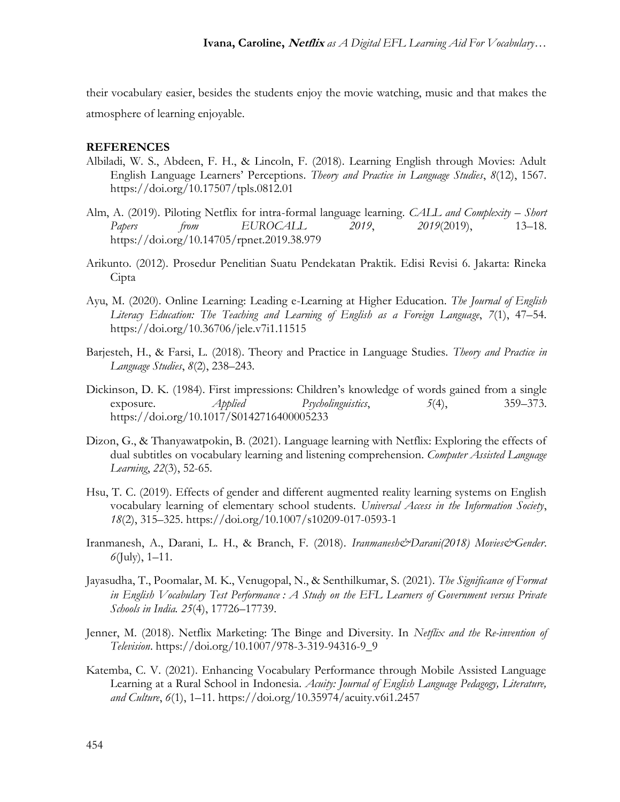their vocabulary easier, besides the students enjoy the movie watching, music and that makes the atmosphere of learning enjoyable.

## **REFERENCES**

- Albiladi, W. S., Abdeen, F. H., & Lincoln, F. (2018). Learning English through Movies: Adult English Language Learners' Perceptions. *Theory and Practice in Language Studies*, *8*(12), 1567. https://doi.org/10.17507/tpls.0812.01
- Alm, A. (2019). Piloting Netflix for intra-formal language learning. *CALL and Complexity – Short Papers from EUROCALL 2019*, *2019*(2019), 13–18. https://doi.org/10.14705/rpnet.2019.38.979
- Arikunto. (2012). Prosedur Penelitian Suatu Pendekatan Praktik. Edisi Revisi 6. Jakarta: Rineka Cipta
- Ayu, M. (2020). Online Learning: Leading e-Learning at Higher Education. *The Journal of English Literacy Education: The Teaching and Learning of English as a Foreign Language*, *7*(1), 47–54. https://doi.org/10.36706/jele.v7i1.11515
- Barjesteh, H., & Farsi, L. (2018). Theory and Practice in Language Studies. *Theory and Practice in Language Studies*, *8*(2), 238–243.
- Dickinson, D. K. (1984). First impressions: Children's knowledge of words gained from a single exposure. *Applied Psycholinguistics*, *5*(4), 359–373. https://doi.org/10.1017/S0142716400005233
- Dizon, G., & Thanyawatpokin, B. (2021). Language learning with Netflix: Exploring the effects of dual subtitles on vocabulary learning and listening comprehension. *Computer Assisted Language Learning*, *22*(3), 52-65.
- Hsu, T. C. (2019). Effects of gender and different augmented reality learning systems on English vocabulary learning of elementary school students. *Universal Access in the Information Society*, *18*(2), 315–325. https://doi.org/10.1007/s10209-017-0593-1
- Iranmanesh, A., Darani, L. H., & Branch, F. (2018). *Iranmanesh&Darani(2018) Movies&Gender*. *6*(July), 1–11.
- Jayasudha, T., Poomalar, M. K., Venugopal, N., & Senthilkumar, S. (2021). *The Significance of Format in English Vocabulary Test Performance : A Study on the EFL Learners of Government versus Private Schools in India. 25*(4), 17726–17739.
- Jenner, M. (2018). Netflix Marketing: The Binge and Diversity. In *Netflix and the Re-invention of Television*. https://doi.org/10.1007/978-3-319-94316-9\_9
- Katemba, C. V. (2021). Enhancing Vocabulary Performance through Mobile Assisted Language Learning at a Rural School in Indonesia. *Acuity: Journal of English Language Pedagogy, Literature, and Culture*, *6*(1), 1–11. https://doi.org/10.35974/acuity.v6i1.2457